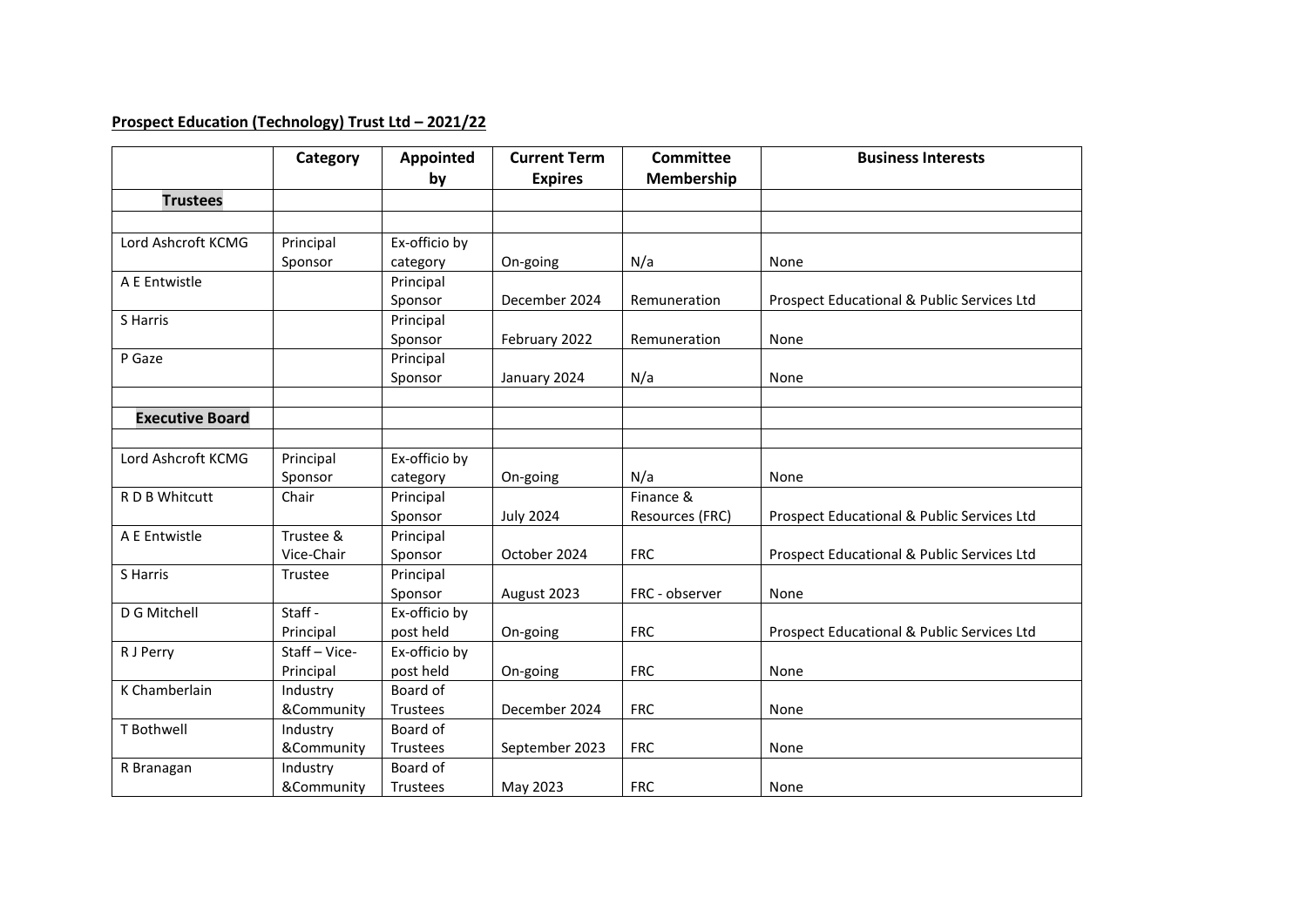## **Prospect Education (Technology) Trust Ltd – 2021/22**

|                        | Category    | Appointed<br>by | <b>Current Term</b><br><b>Expires</b> | Committee<br><b>Membership</b> | <b>Business Interests</b>                  |
|------------------------|-------------|-----------------|---------------------------------------|--------------------------------|--------------------------------------------|
| <b>Trustees</b>        |             |                 |                                       |                                |                                            |
|                        |             |                 |                                       |                                |                                            |
| Lord Ashcroft KCMG     | Principal   | Ex-officio by   |                                       |                                |                                            |
|                        | Sponsor     | category        | On-going                              | N/a                            | None                                       |
| A E Entwistle          |             | Principal       |                                       |                                |                                            |
|                        |             | Sponsor         | December 2024                         | Remuneration                   | Prospect Educational & Public Services Ltd |
| S Harris               |             | Principal       |                                       |                                |                                            |
|                        |             | Sponsor         | February 2022                         | Remuneration                   | None                                       |
| P Gaze                 |             | Principal       |                                       |                                |                                            |
|                        |             | Sponsor         | January 2024                          | N/a                            | None                                       |
|                        |             |                 |                                       |                                |                                            |
| <b>Executive Board</b> |             |                 |                                       |                                |                                            |
|                        |             |                 |                                       |                                |                                            |
| Lord Ashcroft KCMG     | Principal   | Ex-officio by   |                                       |                                |                                            |
|                        | Sponsor     | category        | On-going                              | N/a                            | None                                       |
| R D B Whitcutt         | Chair       | Principal       |                                       | Finance &                      |                                            |
|                        |             | Sponsor         | <b>July 2024</b>                      | Resources (FRC)                | Prospect Educational & Public Services Ltd |
| A E Entwistle          | Trustee &   | Principal       |                                       |                                |                                            |
|                        | Vice-Chair  | Sponsor         | October 2024                          | <b>FRC</b>                     | Prospect Educational & Public Services Ltd |
| S Harris               | Trustee     | Principal       |                                       |                                |                                            |
|                        |             | Sponsor         | August 2023                           | FRC - observer                 | None                                       |
| D G Mitchell           | Staff -     | Ex-officio by   |                                       |                                |                                            |
|                        | Principal   | post held       | On-going                              | <b>FRC</b>                     | Prospect Educational & Public Services Ltd |
| R J Perry              | Staff-Vice- | Ex-officio by   |                                       |                                |                                            |
|                        | Principal   | post held       | On-going                              | <b>FRC</b>                     | None                                       |
| K Chamberlain          | Industry    | Board of        |                                       |                                |                                            |
|                        | &Community  | Trustees        | December 2024                         | <b>FRC</b>                     | None                                       |
| T Bothwell             | Industry    | Board of        |                                       |                                |                                            |
|                        | &Community  | Trustees        | September 2023                        | <b>FRC</b>                     | None                                       |
| R Branagan             | Industry    | Board of        |                                       |                                |                                            |
|                        | &Community  | Trustees        | May 2023                              | <b>FRC</b>                     | None                                       |